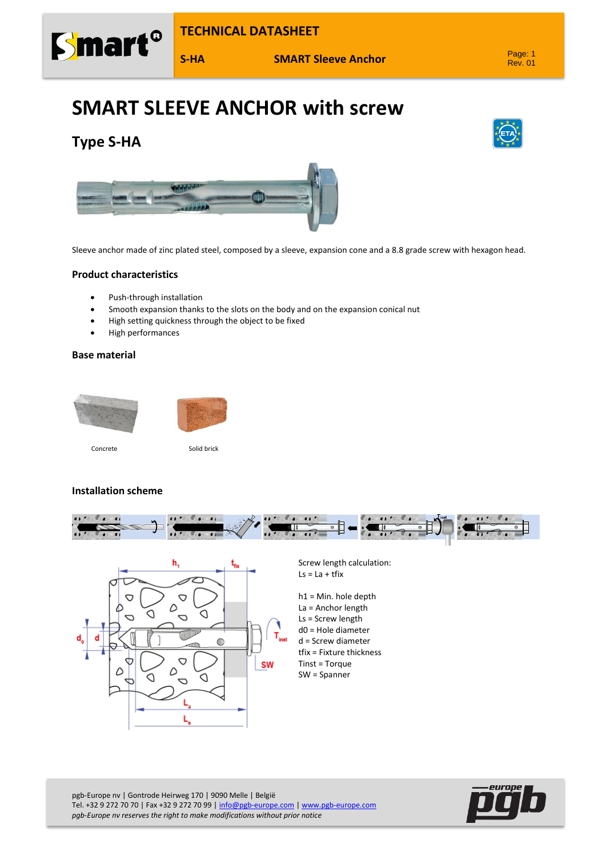

**S-HA SMART Sleeve Anchor**

# **SMART SLEEVE ANCHOR with screw**







Sleeve anchor made of zinc plated steel, composed by a sleeve, expansion cone and a 8.8 grade screw with hexagon head.

### **Product characteristics**

- Push-through installation
- Smooth expansion thanks to the slots on the body and on the expansion conical nut
- High setting quickness through the object to be fixed
- High performances

#### **Base material**



#### **Installation scheme**





Screw length calculation:  $Ls = La + tfix$ 

h1 = Min. hole depth La = Anchor length Ls = Screw length d0 = Hole diameter d = Screw diameter tfix = Fixture thickness Tinst = Torque SW = Spanner

pgb-Europe nv | Gontrode Heirweg 170 | 9090 Melle | België Tel. +32 9 272 70 70 | Fax +32 9 272 70 99 [| info@pgb-europe.com](mailto:info@pgb-europe.com) [| www.pgb-europe.com](http://www.pgb-europe.com/) *pgb-Europe nv reserves the right to make modifications without prior notice*